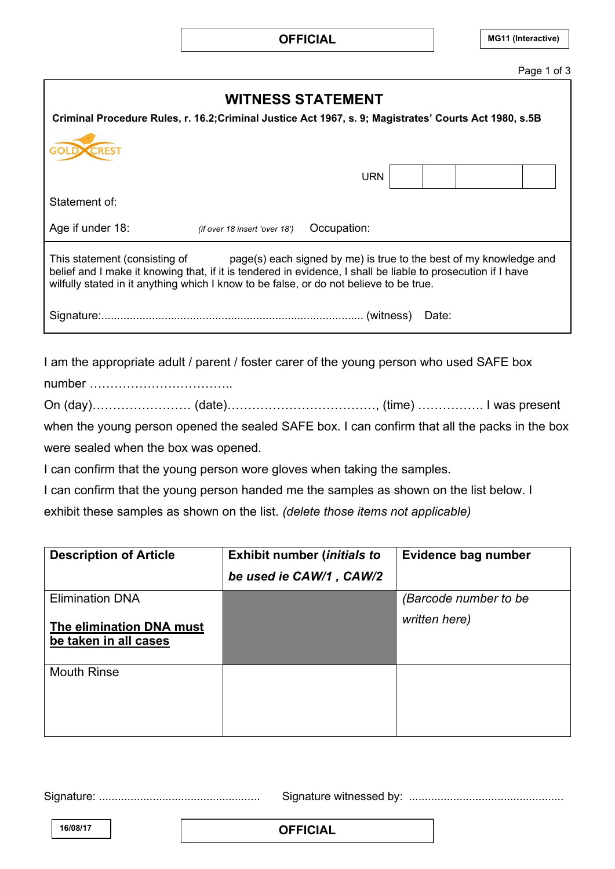|                                                                                                                                                                                                                                                                                                               |                               |             |  |       |  |  | Page 1 of 3 |
|---------------------------------------------------------------------------------------------------------------------------------------------------------------------------------------------------------------------------------------------------------------------------------------------------------------|-------------------------------|-------------|--|-------|--|--|-------------|
| <b>WITNESS STATEMENT</b><br>Criminal Procedure Rules, r. 16.2; Criminal Justice Act 1967, s. 9; Magistrates' Courts Act 1980, s.5B                                                                                                                                                                            |                               |             |  |       |  |  |             |
|                                                                                                                                                                                                                                                                                                               |                               |             |  |       |  |  |             |
|                                                                                                                                                                                                                                                                                                               |                               |             |  |       |  |  |             |
|                                                                                                                                                                                                                                                                                                               |                               | URN         |  |       |  |  |             |
| Statement of:                                                                                                                                                                                                                                                                                                 |                               |             |  |       |  |  |             |
| Age if under 18:                                                                                                                                                                                                                                                                                              | (if over 18 insert 'over 18') | Occupation: |  |       |  |  |             |
| This statement (consisting of<br>page(s) each signed by me) is true to the best of my knowledge and<br>belief and I make it knowing that, if it is tendered in evidence, I shall be liable to prosecution if I have<br>wilfully stated in it anything which I know to be false, or do not believe to be true. |                               |             |  |       |  |  |             |
|                                                                                                                                                                                                                                                                                                               |                               |             |  | Date: |  |  |             |

I am the appropriate adult / parent / foster carer of the young person who used SAFE box

number ……………………………..

On (day)…………………… (date)………………………………, (time) ……………. I was present

when the young person opened the sealed SAFE box. I can confirm that all the packs in the box were sealed when the box was opened.

I can confirm that the young person wore gloves when taking the samples.

I can confirm that the young person handed me the samples as shown on the list below. I

exhibit these samples as shown on the list. *(delete those items not applicable)*

| <b>Description of Article</b>                                               | <b>Exhibit number (initials to</b><br>be used ie CAW/1, CAW/2 | Evidence bag number                    |
|-----------------------------------------------------------------------------|---------------------------------------------------------------|----------------------------------------|
| <b>Elimination DNA</b><br>The elimination DNA must<br>be taken in all cases |                                                               | (Barcode number to be<br>written here) |
| <b>Mouth Rinse</b>                                                          |                                                               |                                        |

Signature: ................................................... Signature witnessed by: .................................................RESTRICTED

**16/08/17 OFFICIAL**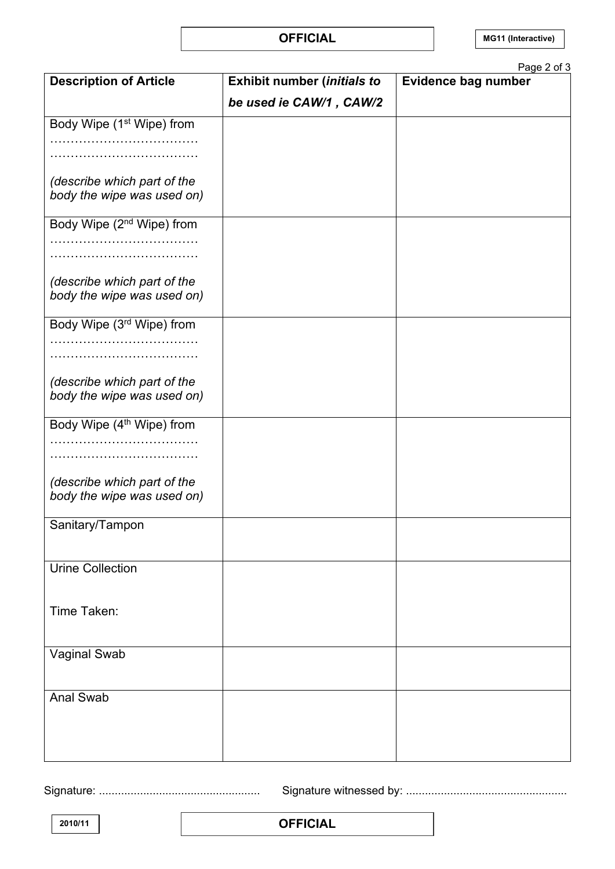## **OFFICIAL**

|                                                           |                                    | Page 2 of 3                |
|-----------------------------------------------------------|------------------------------------|----------------------------|
| <b>Description of Article</b>                             | <b>Exhibit number (initials to</b> | <b>Evidence bag number</b> |
|                                                           | be used ie CAW/1, CAW/2            |                            |
| Body Wipe (1 <sup>st</sup> Wipe) from                     |                                    |                            |
|                                                           |                                    |                            |
|                                                           |                                    |                            |
|                                                           |                                    |                            |
| (describe which part of the                               |                                    |                            |
| body the wipe was used on)                                |                                    |                            |
| Body Wipe (2 <sup>nd</sup> Wipe) from                     |                                    |                            |
|                                                           |                                    |                            |
|                                                           |                                    |                            |
|                                                           |                                    |                            |
| (describe which part of the                               |                                    |                            |
| body the wipe was used on)                                |                                    |                            |
| Body Wipe (3rd Wipe) from                                 |                                    |                            |
|                                                           |                                    |                            |
|                                                           |                                    |                            |
|                                                           |                                    |                            |
| (describe which part of the                               |                                    |                            |
| body the wipe was used on)                                |                                    |                            |
| Body Wipe (4 <sup>th</sup> Wipe) from                     |                                    |                            |
|                                                           |                                    |                            |
|                                                           |                                    |                            |
|                                                           |                                    |                            |
| (describe which part of the<br>body the wipe was used on) |                                    |                            |
|                                                           |                                    |                            |
| Sanitary/Tampon                                           |                                    |                            |
|                                                           |                                    |                            |
|                                                           |                                    |                            |
| <b>Urine Collection</b>                                   |                                    |                            |
|                                                           |                                    |                            |
| Time Taken:                                               |                                    |                            |
|                                                           |                                    |                            |
|                                                           |                                    |                            |
| <b>Vaginal Swab</b>                                       |                                    |                            |
|                                                           |                                    |                            |
| <b>Anal Swab</b>                                          |                                    |                            |
|                                                           |                                    |                            |
|                                                           |                                    |                            |
|                                                           |                                    |                            |
|                                                           |                                    |                            |

Signature: ................................................... Signature witnessed by: ...................................................

**2010/11 OFFICIAL**